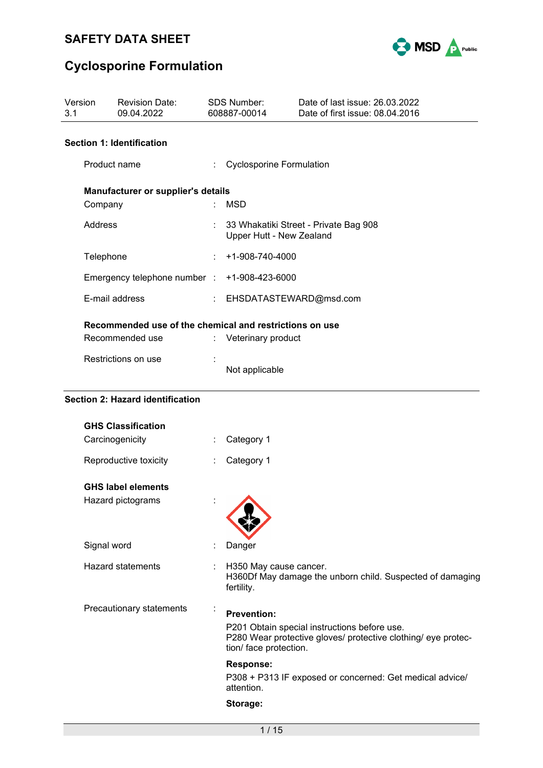

| Version<br>3.1 | <b>Revision Date:</b><br>09.04.2022                     |    | SDS Number:<br>608887-00014                                       |  | Date of last issue: 26.03.2022<br>Date of first issue: 08.04.2016                                             |
|----------------|---------------------------------------------------------|----|-------------------------------------------------------------------|--|---------------------------------------------------------------------------------------------------------------|
|                | <b>Section 1: Identification</b>                        |    |                                                                   |  | <b>New Zealand information</b><br><b>Trade name: Optimmune</b><br>ACVM registration number: A007869           |
|                | Product name                                            |    | <b>Cyclosporine Formulation</b>                                   |  | HSNO approval number: HSR100757<br>24 hour freephone emergency contact:                                       |
|                | Manufacturer or supplier's details                      |    |                                                                   |  | 0800 764 766 (0800 POISON)<br>0800 243 622 (0800 CHEMCALL)                                                    |
|                | Company                                                 |    | <b>MSD</b>                                                        |  |                                                                                                               |
|                | Address                                                 |    | 33 Whakatiki Street - Private Bag 908<br>Upper Hutt - New Zealand |  |                                                                                                               |
|                | Telephone                                               |    | +1-908-740-4000                                                   |  |                                                                                                               |
|                | Emergency telephone number :                            |    | +1-908-423-6000                                                   |  |                                                                                                               |
|                | E-mail address                                          |    | EHSDATASTEWARD@msd.com                                            |  |                                                                                                               |
|                | Recommended use of the chemical and restrictions on use |    |                                                                   |  |                                                                                                               |
|                | Recommended use                                         | ÷. | Veterinary product                                                |  |                                                                                                               |
|                | Restrictions on use                                     |    | Not applicable                                                    |  |                                                                                                               |
|                | <b>Section 2: Hazard identification</b>                 |    |                                                                   |  |                                                                                                               |
|                | <b>GHS Classification</b>                               |    |                                                                   |  |                                                                                                               |
|                | Carcinogenicity                                         |    | Category 1                                                        |  |                                                                                                               |
|                | Reproductive toxicity                                   |    | Category 1                                                        |  |                                                                                                               |
|                | <b>GHS label elements</b>                               |    |                                                                   |  |                                                                                                               |
|                | Hazard pictograms                                       |    |                                                                   |  |                                                                                                               |
|                | Signal word                                             |    | Danger                                                            |  |                                                                                                               |
|                | <b>Hazard statements</b>                                |    | H350 May cause cancer.<br>fertility.                              |  | H360Df May damage the unborn child. Suspected of damaging                                                     |
|                | Precautionary statements                                |    | <b>Prevention:</b><br>tion/ face protection.                      |  | P201 Obtain special instructions before use.<br>P280 Wear protective gloves/ protective clothing/ eye protec- |
|                |                                                         |    | <b>Response:</b>                                                  |  | P308 + P313 IF exposed or concerned: Get medical advice                                                       |

P313 IF exposed or concerned: Get medical advice/ attention.

**Storage:**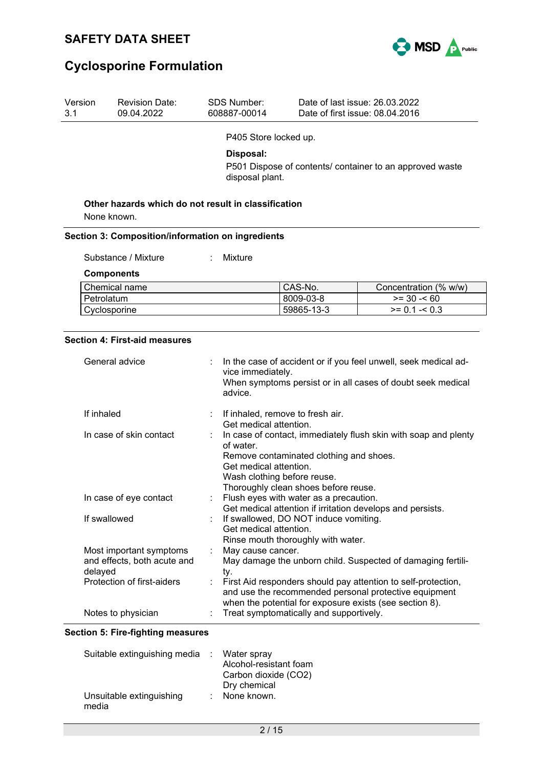

| Version<br>3.1 | <b>Revision Date:</b><br>09.04.2022                    |   | <b>SDS Number:</b><br>608887-00014                                                                                                                                                                                                                 |                                         | Date of last issue: 26.03.2022<br>Date of first issue: 08.04.2016                                                                                                                 |
|----------------|--------------------------------------------------------|---|----------------------------------------------------------------------------------------------------------------------------------------------------------------------------------------------------------------------------------------------------|-----------------------------------------|-----------------------------------------------------------------------------------------------------------------------------------------------------------------------------------|
|                |                                                        |   | P405 Store locked up.                                                                                                                                                                                                                              |                                         |                                                                                                                                                                                   |
|                |                                                        |   | Disposal:                                                                                                                                                                                                                                          |                                         |                                                                                                                                                                                   |
|                |                                                        |   |                                                                                                                                                                                                                                                    |                                         | P501 Dispose of contents/ container to an approved waste                                                                                                                          |
|                |                                                        |   | disposal plant.                                                                                                                                                                                                                                    |                                         |                                                                                                                                                                                   |
|                | Other hazards which do not result in classification    |   |                                                                                                                                                                                                                                                    |                                         |                                                                                                                                                                                   |
|                | None known.                                            |   |                                                                                                                                                                                                                                                    |                                         |                                                                                                                                                                                   |
|                | Section 3: Composition/information on ingredients      |   |                                                                                                                                                                                                                                                    |                                         |                                                                                                                                                                                   |
|                | Substance / Mixture                                    |   | Mixture                                                                                                                                                                                                                                            |                                         |                                                                                                                                                                                   |
|                | <b>Components</b>                                      |   |                                                                                                                                                                                                                                                    |                                         |                                                                                                                                                                                   |
|                | Chemical name                                          |   |                                                                                                                                                                                                                                                    | CAS-No.                                 | Concentration (% w/w)                                                                                                                                                             |
|                | Petrolatum                                             |   |                                                                                                                                                                                                                                                    | 8009-03-8                               | $>= 30 - 60$                                                                                                                                                                      |
|                | Cyclosporine                                           |   |                                                                                                                                                                                                                                                    | 59865-13-3                              | $>= 0.1 - 0.3$                                                                                                                                                                    |
|                | General advice                                         |   | vice immediately.<br>advice.                                                                                                                                                                                                                       |                                         | In the case of accident or if you feel unwell, seek medical ad-<br>When symptoms persist or in all cases of doubt seek medical                                                    |
| If inhaled     |                                                        |   |                                                                                                                                                                                                                                                    | If inhaled, remove to fresh air.        |                                                                                                                                                                                   |
|                | In case of skin contact                                |   | Get medical attention.<br>In case of contact, immediately flush skin with soap and plenty<br>of water.<br>Remove contaminated clothing and shoes.<br>Get medical attention.<br>Wash clothing before reuse.<br>Thoroughly clean shoes before reuse. |                                         |                                                                                                                                                                                   |
|                | In case of eye contact                                 |   |                                                                                                                                                                                                                                                    | Flush eyes with water as a precaution.  | Get medical attention if irritation develops and persists.                                                                                                                        |
|                | If swallowed                                           |   | If swallowed, DO NOT induce vomiting.<br>Get medical attention.<br>Rinse mouth thoroughly with water.                                                                                                                                              |                                         |                                                                                                                                                                                   |
| delayed        | Most important symptoms<br>and effects, both acute and | ÷ | May cause cancer.<br>ty.                                                                                                                                                                                                                           |                                         | May damage the unborn child. Suspected of damaging fertili-                                                                                                                       |
|                | Protection of first-aiders                             | ÷ |                                                                                                                                                                                                                                                    |                                         | First Aid responders should pay attention to self-protection,<br>and use the recommended personal protective equipment<br>when the potential for exposure exists (see section 8). |
|                | Notes to physician                                     |   |                                                                                                                                                                                                                                                    | Treat symptomatically and supportively. |                                                                                                                                                                                   |

### **Section 5: Fire-fighting measures**

| Suitable extinguishing media : Water spray |                        |
|--------------------------------------------|------------------------|
|                                            | Alcohol-resistant foam |
|                                            | Carbon dioxide (CO2)   |
|                                            | Dry chemical           |
| Unsuitable extinguishing<br>media          | : None known.          |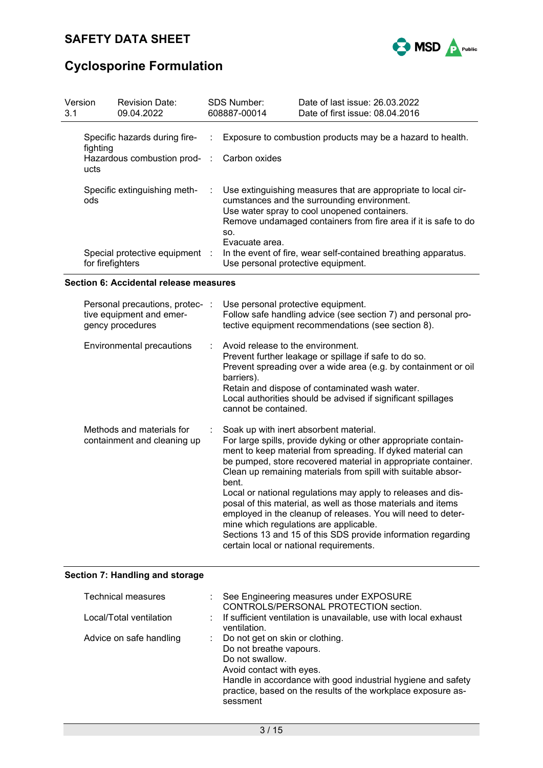

| Version<br>3.1 | <b>Revision Date:</b><br>09.04.2022                                             |  | <b>SDS Number:</b><br>608887-00014                   | Date of last issue: 26,03,2022<br>Date of first issue: 08.04.2016                                                                                                                                                              |
|----------------|---------------------------------------------------------------------------------|--|------------------------------------------------------|--------------------------------------------------------------------------------------------------------------------------------------------------------------------------------------------------------------------------------|
|                | Specific hazards during fire-<br>fighting<br>Hazardous combustion prod-<br>ucts |  | : Carbon oxides                                      | Exposure to combustion products may be a hazard to health.                                                                                                                                                                     |
|                | Specific extinguishing meth-<br>ods                                             |  | ÷.<br>SO.                                            | Use extinguishing measures that are appropriate to local cir-<br>cumstances and the surrounding environment.<br>Use water spray to cool unopened containers.<br>Remove undamaged containers from fire area if it is safe to do |
|                | Special protective equipment :<br>for firefighters                              |  | Evacuate area.<br>Use personal protective equipment. | In the event of fire, wear self-contained breathing apparatus.                                                                                                                                                                 |

### **Section 6: Accidental release measures**

| Personal precautions, protec- :<br>tive equipment and emer-<br>gency procedures | Use personal protective equipment.<br>Follow safe handling advice (see section 7) and personal pro-<br>tective equipment recommendations (see section 8).                                                                                                                                                                                                                                                                                                                                                                                                                                                                                                              |
|---------------------------------------------------------------------------------|------------------------------------------------------------------------------------------------------------------------------------------------------------------------------------------------------------------------------------------------------------------------------------------------------------------------------------------------------------------------------------------------------------------------------------------------------------------------------------------------------------------------------------------------------------------------------------------------------------------------------------------------------------------------|
| Environmental precautions                                                       | $\therefore$ Avoid release to the environment.<br>Prevent further leakage or spillage if safe to do so.<br>Prevent spreading over a wide area (e.g. by containment or oil<br>barriers).<br>Retain and dispose of contaminated wash water.<br>Local authorities should be advised if significant spillages<br>cannot be contained.                                                                                                                                                                                                                                                                                                                                      |
| Methods and materials for<br>containment and cleaning up                        | Soak up with inert absorbent material.<br>For large spills, provide dyking or other appropriate contain-<br>ment to keep material from spreading. If dyked material can<br>be pumped, store recovered material in appropriate container.<br>Clean up remaining materials from spill with suitable absor-<br>bent.<br>Local or national regulations may apply to releases and dis-<br>posal of this material, as well as those materials and items<br>employed in the cleanup of releases. You will need to deter-<br>mine which regulations are applicable.<br>Sections 13 and 15 of this SDS provide information regarding<br>certain local or national requirements. |

## **Section 7: Handling and storage**

| Technical measures      | : See Engineering measures under EXPOSURE<br>CONTROLS/PERSONAL PROTECTION section.                                                                                                                                                                      |
|-------------------------|---------------------------------------------------------------------------------------------------------------------------------------------------------------------------------------------------------------------------------------------------------|
| Local/Total ventilation | : If sufficient ventilation is unavailable, use with local exhaust<br>ventilation.                                                                                                                                                                      |
| Advice on safe handling | : Do not get on skin or clothing.<br>Do not breathe vapours.<br>Do not swallow.<br>Avoid contact with eyes.<br>Handle in accordance with good industrial hygiene and safety<br>practice, based on the results of the workplace exposure as-<br>sessment |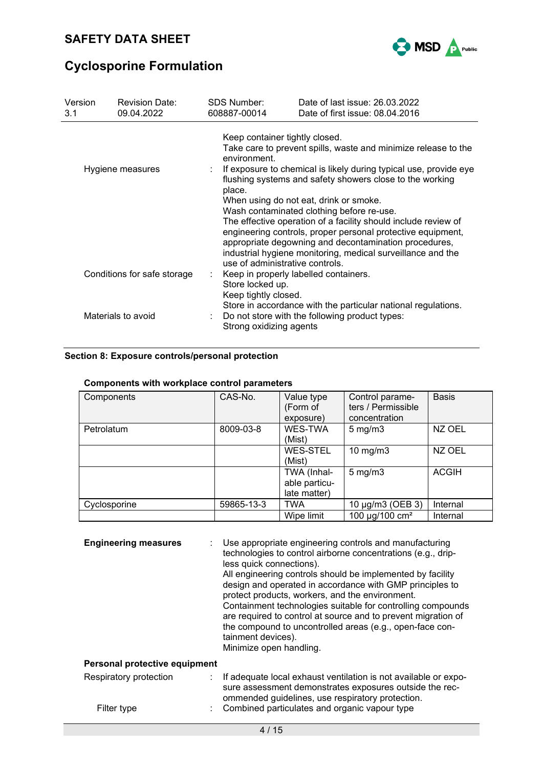

| Version<br>3.1                                                                                                                                                                           | <b>Revision Date:</b><br>09.04.2022 | SDS Number:<br>608887-00014                                                                                                                                                                                                                                                                           | Date of last issue: 26.03.2022<br>Date of first issue: 08.04.2016                                                                                                                                                                                                                                                                           |  |  |  |  |
|------------------------------------------------------------------------------------------------------------------------------------------------------------------------------------------|-------------------------------------|-------------------------------------------------------------------------------------------------------------------------------------------------------------------------------------------------------------------------------------------------------------------------------------------------------|---------------------------------------------------------------------------------------------------------------------------------------------------------------------------------------------------------------------------------------------------------------------------------------------------------------------------------------------|--|--|--|--|
| Hygiene measures                                                                                                                                                                         |                                     | Keep container tightly closed.<br>Take care to prevent spills, waste and minimize release to the<br>environment.<br>If exposure to chemical is likely during typical use, provide eye<br>flushing systems and safety showers close to the working<br>place.<br>When using do not eat, drink or smoke. |                                                                                                                                                                                                                                                                                                                                             |  |  |  |  |
| Conditions for safe storage                                                                                                                                                              |                                     | use of administrative controls.<br>÷<br>Store locked up.                                                                                                                                                                                                                                              | Wash contaminated clothing before re-use.<br>The effective operation of a facility should include review of<br>engineering controls, proper personal protective equipment,<br>appropriate degowning and decontamination procedures,<br>industrial hygiene monitoring, medical surveillance and the<br>Keep in properly labelled containers. |  |  |  |  |
| Keep tightly closed.<br>Store in accordance with the particular national regulations.<br>Materials to avoid<br>Do not store with the following product types:<br>Strong oxidizing agents |                                     |                                                                                                                                                                                                                                                                                                       |                                                                                                                                                                                                                                                                                                                                             |  |  |  |  |

### **Section 8: Exposure controls/personal protection**

| Components   | CAS-No.    | Value type<br>(Form of<br>exposure)          | Control parame-<br>ters / Permissible<br>concentration | <b>Basis</b> |
|--------------|------------|----------------------------------------------|--------------------------------------------------------|--------------|
| Petrolatum   | 8009-03-8  | WES-TWA<br>(Mist)                            | $5$ mg/m $3$                                           | NZ OEL       |
|              |            | <b>WES-STEL</b><br>(Mist)                    | 10 mg/m $3$                                            | NZ OEL       |
|              |            | TWA (Inhal-<br>able particu-<br>late matter) | $5 \text{ mg/m}$ 3                                     | <b>ACGIH</b> |
| Cyclosporine | 59865-13-3 | <b>TWA</b>                                   | 10 µg/m3 (OEB 3)                                       | Internal     |
|              |            | Wipe limit                                   | 100 µg/100 cm <sup>2</sup>                             | Internal     |

## **Components with workplace control parameters**

| <b>Engineering measures</b>   | Use appropriate engineering controls and manufacturing<br>technologies to control airborne concentrations (e.g., drip-<br>less quick connections).<br>All engineering controls should be implemented by facility<br>design and operated in accordance with GMP principles to<br>protect products, workers, and the environment.<br>Containment technologies suitable for controlling compounds<br>are required to control at source and to prevent migration of<br>the compound to uncontrolled areas (e.g., open-face con-<br>tainment devices).<br>Minimize open handling. |
|-------------------------------|------------------------------------------------------------------------------------------------------------------------------------------------------------------------------------------------------------------------------------------------------------------------------------------------------------------------------------------------------------------------------------------------------------------------------------------------------------------------------------------------------------------------------------------------------------------------------|
| Personal protective equipment |                                                                                                                                                                                                                                                                                                                                                                                                                                                                                                                                                                              |
|                               |                                                                                                                                                                                                                                                                                                                                                                                                                                                                                                                                                                              |

| Respiratory protection | : If adequate local exhaust ventilation is not available or expo-<br>sure assessment demonstrates exposures outside the rec- |
|------------------------|------------------------------------------------------------------------------------------------------------------------------|
| Filter type            | ommended guidelines, use respiratory protection.<br>: Combined particulates and organic vapour type                          |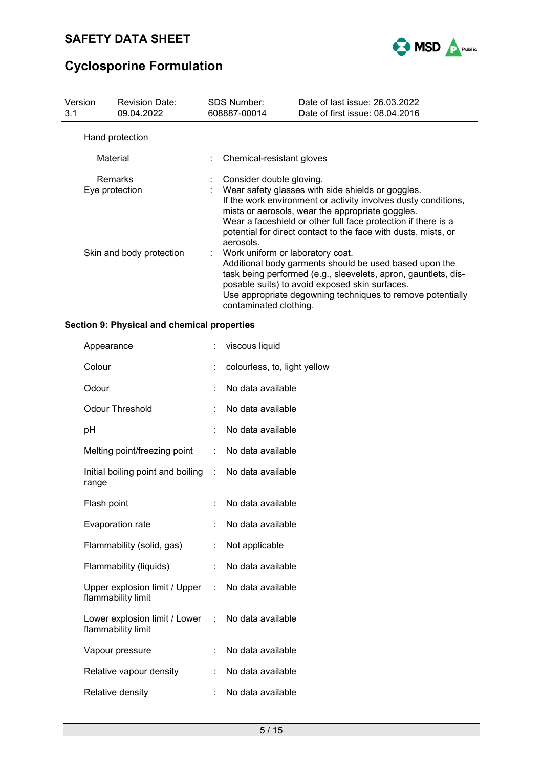

| Version<br>3.1 | <b>Revision Date:</b><br>09.04.2022                                                                                                                                                                                                                                                                                                                                              |  | SDS Number:<br>608887-00014 | Date of last issue: 26.03.2022<br>Date of first issue: 08.04.2016 |
|----------------|----------------------------------------------------------------------------------------------------------------------------------------------------------------------------------------------------------------------------------------------------------------------------------------------------------------------------------------------------------------------------------|--|-----------------------------|-------------------------------------------------------------------|
|                | Hand protection                                                                                                                                                                                                                                                                                                                                                                  |  |                             |                                                                   |
| Material       |                                                                                                                                                                                                                                                                                                                                                                                  |  | Chemical-resistant gloves   |                                                                   |
|                | Remarks<br>Consider double gloving.<br>Wear safety glasses with side shields or goggles.<br>Eye protection<br>If the work environment or activity involves dusty conditions,<br>mists or aerosols, wear the appropriate goggles.<br>Wear a faceshield or other full face protection if there is a<br>potential for direct contact to the face with dusts, mists, or<br>aerosols. |  |                             |                                                                   |
|                | Skin and body protection<br>: Work uniform or laboratory coat.<br>Additional body garments should be used based upon the<br>task being performed (e.g., sleevelets, apron, gauntlets, dis-<br>posable suits) to avoid exposed skin surfaces.<br>Use appropriate degowning techniques to remove potentially<br>contaminated clothing.                                             |  |                             |                                                                   |

### **Section 9: Physical and chemical properties**

|                                                                | viscous liquid               |
|----------------------------------------------------------------|------------------------------|
|                                                                | colourless, to, light yellow |
| t.                                                             | No data available            |
|                                                                | No data available            |
| t.                                                             | No data available            |
| t.                                                             | No data available            |
| Initial boiling point and boiling<br>$\mathbb{R}^{\mathbb{Z}}$ | No data available            |
| t.                                                             | No data available            |
| t                                                              | No data available            |
| ÷                                                              | Not applicable               |
| ÷.                                                             | No data available            |
| Upper explosion limit / Upper<br>$\mathbb{R}^{\mathbb{Z}}$     | No data available            |
| Lower explosion limit / Lower<br>t.                            | No data available            |
|                                                                | No data available            |
| ÷.                                                             | No data available            |
|                                                                | No data available            |
|                                                                |                              |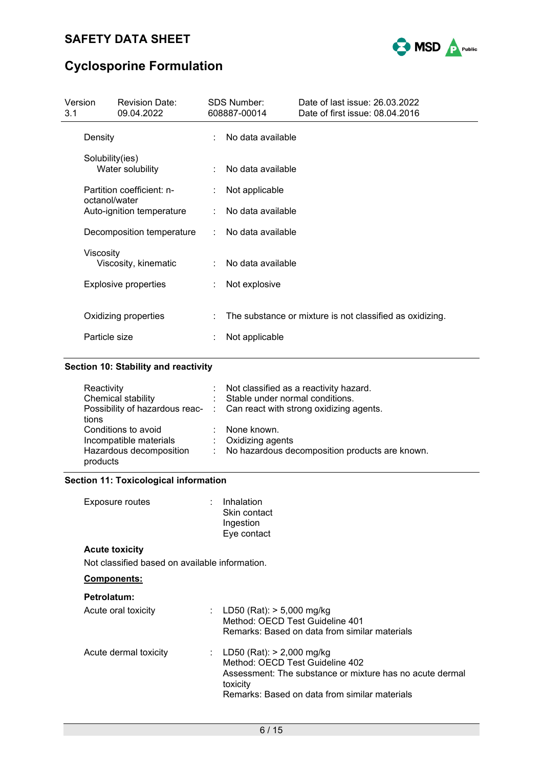

| Version<br>3.1 |                 | <b>Revision Date:</b><br>09.04.2022 |   | <b>SDS Number:</b><br>608887-00014 | Date of last issue: 26.03.2022<br>Date of first issue: 08.04.2016 |  |
|----------------|-----------------|-------------------------------------|---|------------------------------------|-------------------------------------------------------------------|--|
|                | Density         |                                     |   | No data available                  |                                                                   |  |
|                | Solubility(ies) | Water solubility                    |   | No data available                  |                                                                   |  |
|                | octanol/water   | Partition coefficient: n-           |   | Not applicable                     |                                                                   |  |
|                |                 | Auto-ignition temperature           |   | No data available                  |                                                                   |  |
|                |                 | Decomposition temperature           |   | No data available                  |                                                                   |  |
|                | Viscosity       | Viscosity, kinematic                |   | No data available                  |                                                                   |  |
|                |                 | <b>Explosive properties</b>         |   | Not explosive                      |                                                                   |  |
|                | Particle size   | Oxidizing properties                | ÷ | Not applicable                     | The substance or mixture is not classified as oxidizing.          |  |
|                |                 |                                     |   |                                    |                                                                   |  |

### **Section 10: Stability and reactivity**

| Reactivity<br>Chemical stability<br>tions                                            | t. | Not classified as a reactivity hazard.<br>Stable under normal conditions.<br>Possibility of hazardous reac- : Can react with strong oxidizing agents. |
|--------------------------------------------------------------------------------------|----|-------------------------------------------------------------------------------------------------------------------------------------------------------|
| Conditions to avoid<br>Incompatible materials<br>Hazardous decomposition<br>products |    | None known.<br>: Oxidizing agents<br>No hazardous decomposition products are known.                                                                   |

### **Section 11: Toxicological information**

| Exposure routes | : Inhalation |
|-----------------|--------------|
|                 | Skin contact |
|                 | Ingestion    |
|                 | Eye contact  |

### **Acute toxicity**

Not classified based on available information.

### **Components:**

| <b>Petrolatum:</b> |  |
|--------------------|--|
|--------------------|--|

| Acute oral toxicity   | : LD50 (Rat): $> 5,000$ mg/kg<br>Method: OECD Test Guideline 401<br>Remarks: Based on data from similar materials                                                                         |
|-----------------------|-------------------------------------------------------------------------------------------------------------------------------------------------------------------------------------------|
| Acute dermal toxicity | : LD50 (Rat): $> 2,000$ mg/kg<br>Method: OECD Test Guideline 402<br>Assessment: The substance or mixture has no acute dermal<br>toxicity<br>Remarks: Based on data from similar materials |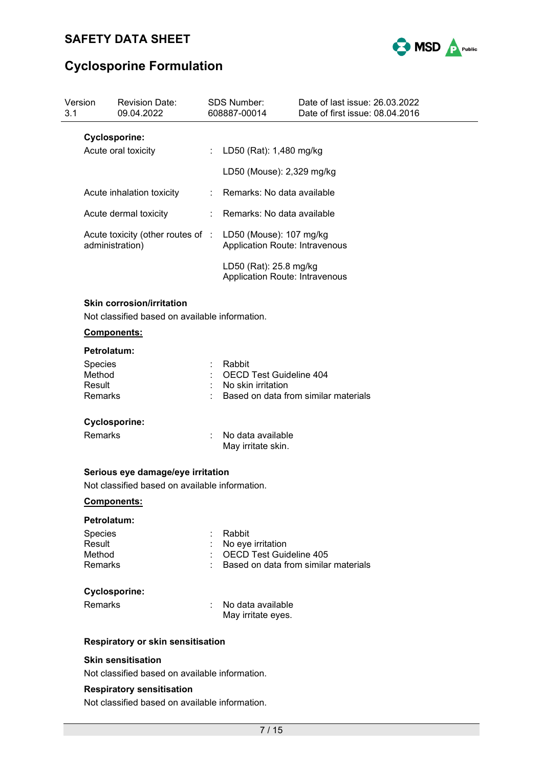

| Version<br>3.1 |                                             | <b>Revision Date:</b><br>09.04.2022                                                | <b>SDS Number:</b><br>608887-00014                              | Date of last issue: 26.03.2022<br>Date of first issue: 08.04.2016 |  |
|----------------|---------------------------------------------|------------------------------------------------------------------------------------|-----------------------------------------------------------------|-------------------------------------------------------------------|--|
|                | <b>Cyclosporine:</b><br>Acute oral toxicity |                                                                                    | : LD50 (Rat): 1,480 mg/kg                                       |                                                                   |  |
|                |                                             |                                                                                    | LD50 (Mouse): 2,329 mg/kg                                       |                                                                   |  |
|                |                                             | Acute inhalation toxicity                                                          | : Remarks: No data available                                    |                                                                   |  |
|                |                                             | Acute dermal toxicity                                                              | Remarks: No data available                                      |                                                                   |  |
|                | administration)                             | Acute toxicity (other routes of :                                                  | LD50 (Mouse): 107 mg/kg<br>Application Route: Intravenous       |                                                                   |  |
|                |                                             |                                                                                    | LD50 (Rat): 25.8 mg/kg<br><b>Application Route: Intravenous</b> |                                                                   |  |
|                |                                             | <b>Skin corrosion/irritation</b><br>Not classified based on available information. |                                                                 |                                                                   |  |
|                | <b>Components:</b>                          |                                                                                    |                                                                 |                                                                   |  |
|                | Petrolatum:                                 |                                                                                    |                                                                 |                                                                   |  |
|                | <b>Species</b>                              |                                                                                    | Rabbit                                                          |                                                                   |  |
|                | Method<br>Result                            |                                                                                    | <b>OECD Test Guideline 404</b><br>: No skin irritation          |                                                                   |  |
|                | Remarks                                     |                                                                                    |                                                                 | Based on data from similar materials                              |  |
|                | <b>Cyclosporine:</b>                        |                                                                                    |                                                                 |                                                                   |  |
|                | <b>Remarks</b>                              |                                                                                    | No data available<br>May irritate skin.                         |                                                                   |  |
|                |                                             | Serious eye damage/eye irritation                                                  |                                                                 |                                                                   |  |
|                |                                             | Not classified based on available information.                                     |                                                                 |                                                                   |  |
|                | Components:                                 |                                                                                    |                                                                 |                                                                   |  |
|                | Petrolatum:                                 |                                                                                    |                                                                 |                                                                   |  |
|                | Species                                     |                                                                                    | Rabbit                                                          |                                                                   |  |
|                | Result                                      |                                                                                    | No eye irritation                                               |                                                                   |  |
|                | Method<br>Remarks                           |                                                                                    | <b>OECD Test Guideline 405</b>                                  | Based on data from similar materials                              |  |
|                | <b>Cyclosporine:</b>                        |                                                                                    |                                                                 |                                                                   |  |
|                | Remarks                                     |                                                                                    | No data available<br>May irritate eyes.                         |                                                                   |  |
|                |                                             | <b>Respiratory or skin sensitisation</b>                                           |                                                                 |                                                                   |  |
|                |                                             | <b>Skin sensitisation</b>                                                          |                                                                 |                                                                   |  |

Not classified based on available information.

### **Respiratory sensitisation**

Not classified based on available information.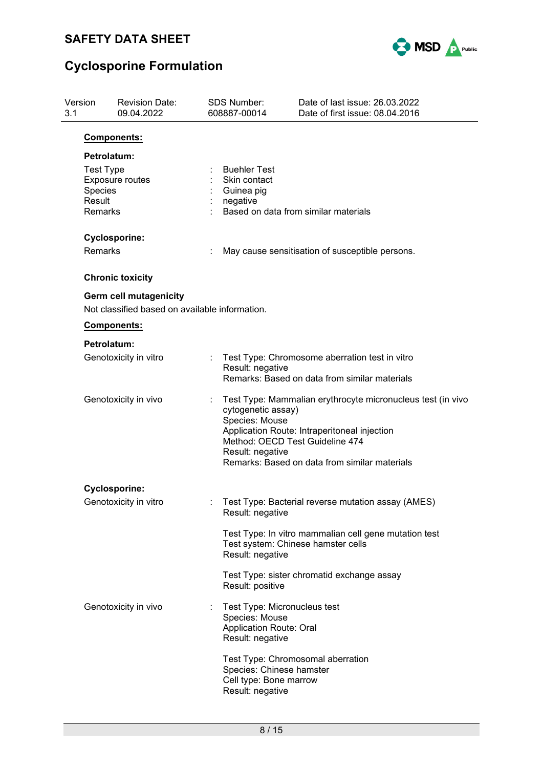

| Version<br>3.1 |                                                                                                                              | <b>Revision Date:</b><br>09.04.2022                                             |                                                                                                                     | <b>SDS Number:</b><br>608887-00014                                                                   | Date of last issue: 26.03.2022<br>Date of first issue: 08.04.2016                                                                                            |  |  |  |  |
|----------------|------------------------------------------------------------------------------------------------------------------------------|---------------------------------------------------------------------------------|---------------------------------------------------------------------------------------------------------------------|------------------------------------------------------------------------------------------------------|--------------------------------------------------------------------------------------------------------------------------------------------------------------|--|--|--|--|
|                |                                                                                                                              | <b>Components:</b>                                                              |                                                                                                                     |                                                                                                      |                                                                                                                                                              |  |  |  |  |
|                | Petrolatum:<br><b>Test Type</b><br><b>Exposure routes</b><br>Species<br>Result<br>Remarks<br><b>Cyclosporine:</b><br>Remarks |                                                                                 |                                                                                                                     | <b>Buehler Test</b><br>Skin contact<br>Guinea pig<br>negative                                        | Based on data from similar materials                                                                                                                         |  |  |  |  |
|                |                                                                                                                              |                                                                                 |                                                                                                                     |                                                                                                      | May cause sensitisation of susceptible persons.                                                                                                              |  |  |  |  |
|                |                                                                                                                              | <b>Chronic toxicity</b>                                                         |                                                                                                                     |                                                                                                      |                                                                                                                                                              |  |  |  |  |
|                |                                                                                                                              | <b>Germ cell mutagenicity</b><br>Not classified based on available information. |                                                                                                                     |                                                                                                      |                                                                                                                                                              |  |  |  |  |
|                |                                                                                                                              | Components:                                                                     |                                                                                                                     |                                                                                                      |                                                                                                                                                              |  |  |  |  |
|                | Petrolatum:                                                                                                                  |                                                                                 |                                                                                                                     |                                                                                                      |                                                                                                                                                              |  |  |  |  |
|                | Genotoxicity in vitro<br>Genotoxicity in vivo                                                                                |                                                                                 | Test Type: Chromosome aberration test in vitro<br>Result: negative<br>Remarks: Based on data from similar materials |                                                                                                      |                                                                                                                                                              |  |  |  |  |
|                |                                                                                                                              |                                                                                 |                                                                                                                     | cytogenetic assay)<br>Species: Mouse<br>Method: OECD Test Guideline 474<br>Result: negative          | Test Type: Mammalian erythrocyte micronucleus test (in vivo<br>Application Route: Intraperitoneal injection<br>Remarks: Based on data from similar materials |  |  |  |  |
|                |                                                                                                                              | <b>Cyclosporine:</b>                                                            |                                                                                                                     |                                                                                                      |                                                                                                                                                              |  |  |  |  |
|                |                                                                                                                              | Genotoxicity in vitro                                                           |                                                                                                                     | Result: negative                                                                                     | Test Type: Bacterial reverse mutation assay (AMES)                                                                                                           |  |  |  |  |
|                |                                                                                                                              |                                                                                 |                                                                                                                     | Result: negative                                                                                     | Test Type: In vitro mammalian cell gene mutation test<br>Test system: Chinese hamster cells                                                                  |  |  |  |  |
|                |                                                                                                                              |                                                                                 |                                                                                                                     | Result: positive                                                                                     | Test Type: sister chromatid exchange assay                                                                                                                   |  |  |  |  |
|                |                                                                                                                              | Genotoxicity in vivo                                                            |                                                                                                                     | Test Type: Micronucleus test<br>Species: Mouse<br><b>Application Route: Oral</b><br>Result: negative |                                                                                                                                                              |  |  |  |  |
|                |                                                                                                                              |                                                                                 |                                                                                                                     | Species: Chinese hamster<br>Cell type: Bone marrow<br>Result: negative                               | Test Type: Chromosomal aberration                                                                                                                            |  |  |  |  |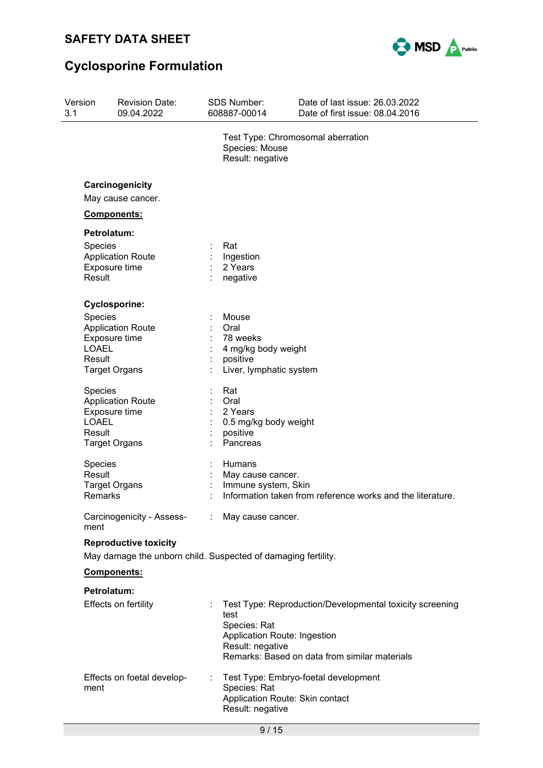

| Version<br>3.1 |                                                                                               | Revision Date:<br>09.04.2022                                      |  | <b>SDS Number:</b><br>608887-00014                                                      | Date of last issue: 26.03.2022<br>Date of first issue: 08.04.2016                                         |
|----------------|-----------------------------------------------------------------------------------------------|-------------------------------------------------------------------|--|-----------------------------------------------------------------------------------------|-----------------------------------------------------------------------------------------------------------|
|                |                                                                                               |                                                                   |  | Species: Mouse<br>Result: negative                                                      | Test Type: Chromosomal aberration                                                                         |
|                |                                                                                               | Carcinogenicity<br>May cause cancer.                              |  |                                                                                         |                                                                                                           |
|                |                                                                                               | Components:                                                       |  |                                                                                         |                                                                                                           |
|                | Petrolatum:                                                                                   |                                                                   |  |                                                                                         |                                                                                                           |
|                | Species<br>Result                                                                             | <b>Application Route</b><br>Exposure time                         |  | Rat<br>Ingestion<br>2 Years<br>negative                                                 |                                                                                                           |
|                |                                                                                               | <b>Cyclosporine:</b>                                              |  |                                                                                         |                                                                                                           |
|                | <b>Species</b><br><b>LOAEL</b><br>Result                                                      | <b>Application Route</b><br>Exposure time<br><b>Target Organs</b> |  | Mouse<br>Oral<br>78 weeks<br>4 mg/kg body weight<br>positive<br>Liver, lymphatic system |                                                                                                           |
|                | Species<br><b>LOAEL</b><br>Result                                                             | <b>Application Route</b><br>Exposure time<br><b>Target Organs</b> |  | Rat<br>Oral<br>2 Years<br>0.5 mg/kg body weight<br>positive<br>Pancreas                 |                                                                                                           |
|                | Species<br>Result<br>Remarks                                                                  | <b>Target Organs</b>                                              |  | Humans<br>May cause cancer.<br>Immune system, Skin                                      | Information taken from reference works and the literature.                                                |
|                | ment                                                                                          | Carcinogenicity - Assess- : May cause cancer.                     |  |                                                                                         |                                                                                                           |
|                | <b>Reproductive toxicity</b><br>May damage the unborn child. Suspected of damaging fertility. |                                                                   |  |                                                                                         |                                                                                                           |
|                |                                                                                               | <b>Components:</b>                                                |  |                                                                                         |                                                                                                           |
|                | Petrolatum:                                                                                   | Effects on fertility                                              |  | test<br>Species: Rat<br>Application Route: Ingestion<br>Result: negative                | Test Type: Reproduction/Developmental toxicity screening<br>Remarks: Based on data from similar materials |
|                | ment                                                                                          | Effects on foetal develop-                                        |  | Species: Rat<br>Application Route: Skin contact<br>Result: negative                     | Test Type: Embryo-foetal development                                                                      |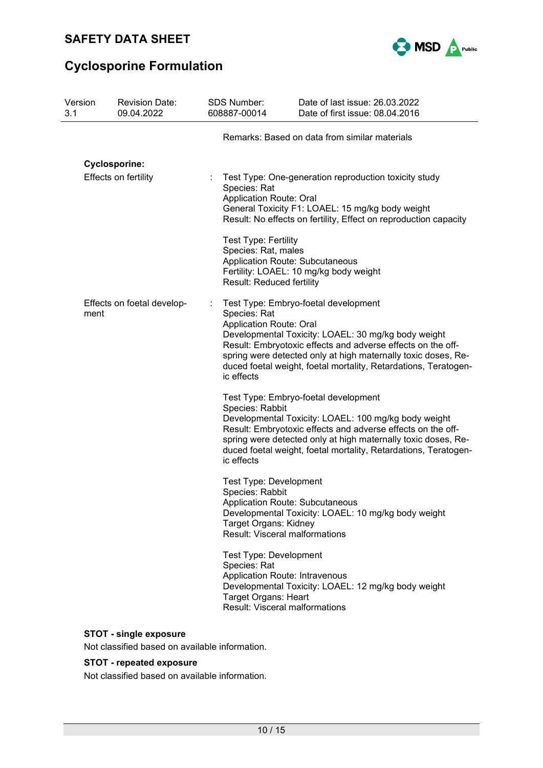

| Version<br>3.1       | <b>Revision Date:</b><br>09.04.2022 |  | <b>SDS Number:</b><br>608887-00014                                                                                                                           | Date of last issue: 26.03.2022<br>Date of first issue: 08.04.2016                                                                                                                                                                                                                               |
|----------------------|-------------------------------------|--|--------------------------------------------------------------------------------------------------------------------------------------------------------------|-------------------------------------------------------------------------------------------------------------------------------------------------------------------------------------------------------------------------------------------------------------------------------------------------|
|                      |                                     |  |                                                                                                                                                              | Remarks: Based on data from similar materials                                                                                                                                                                                                                                                   |
| <b>Cyclosporine:</b> |                                     |  |                                                                                                                                                              |                                                                                                                                                                                                                                                                                                 |
| Effects on fertility |                                     |  | Species: Rat<br><b>Application Route: Oral</b><br><b>Test Type: Fertility</b>                                                                                | Test Type: One-generation reproduction toxicity study<br>General Toxicity F1: LOAEL: 15 mg/kg body weight<br>Result: No effects on fertility, Effect on reproduction capacity                                                                                                                   |
|                      |                                     |  | Species: Rat, males<br><b>Application Route: Subcutaneous</b><br><b>Result: Reduced fertility</b>                                                            | Fertility: LOAEL: 10 mg/kg body weight                                                                                                                                                                                                                                                          |
| ment                 | Effects on foetal develop-          |  | Species: Rat<br><b>Application Route: Oral</b><br>ic effects                                                                                                 | Test Type: Embryo-foetal development<br>Developmental Toxicity: LOAEL: 30 mg/kg body weight<br>Result: Embryotoxic effects and adverse effects on the off-<br>spring were detected only at high maternally toxic doses, Re-<br>duced foetal weight, foetal mortality, Retardations, Teratogen-  |
|                      |                                     |  | Species: Rabbit<br>ic effects                                                                                                                                | Test Type: Embryo-foetal development<br>Developmental Toxicity: LOAEL: 100 mg/kg body weight<br>Result: Embryotoxic effects and adverse effects on the off-<br>spring were detected only at high maternally toxic doses, Re-<br>duced foetal weight, foetal mortality, Retardations, Teratogen- |
|                      |                                     |  | <b>Test Type: Development</b><br>Species: Rabbit<br>Application Route: Subcutaneous<br><b>Target Organs: Kidney</b><br><b>Result: Visceral malformations</b> | Developmental Toxicity: LOAEL: 10 mg/kg body weight                                                                                                                                                                                                                                             |
|                      |                                     |  | <b>Test Type: Development</b><br>Species: Rat<br><b>Application Route: Intravenous</b><br>Target Organs: Heart<br><b>Result: Visceral malformations</b>      | Developmental Toxicity: LOAEL: 12 mg/kg body weight                                                                                                                                                                                                                                             |

## **STOT - single exposure**

Not classified based on available information.

### **STOT - repeated exposure**

Not classified based on available information.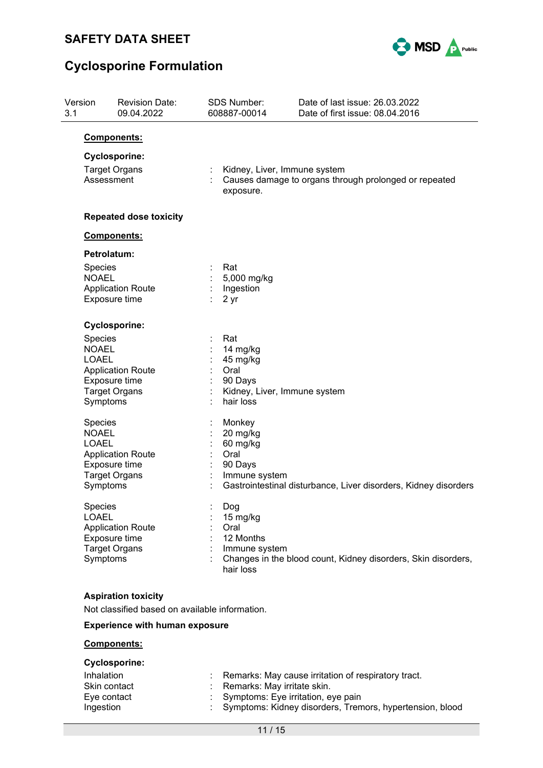

| 3.1 | Version                                                    | <b>Revision Date:</b><br>09.04.2022                                          | SDS Number:<br>608887-00014                                                                 | Date of last issue: 26.03.2022<br>Date of first issue: 08.04.2016 |
|-----|------------------------------------------------------------|------------------------------------------------------------------------------|---------------------------------------------------------------------------------------------|-------------------------------------------------------------------|
|     |                                                            | Components:                                                                  |                                                                                             |                                                                   |
|     | <b>Cyclosporine:</b><br><b>Target Organs</b><br>Assessment |                                                                              | Kidney, Liver, Immune system<br>exposure.                                                   | Causes damage to organs through prolonged or repeated             |
|     |                                                            | <b>Repeated dose toxicity</b>                                                |                                                                                             |                                                                   |
|     |                                                            | Components:                                                                  |                                                                                             |                                                                   |
|     |                                                            | Petrolatum:                                                                  |                                                                                             |                                                                   |
|     | Species<br><b>NOAEL</b>                                    | <b>Application Route</b><br>Exposure time                                    | Rat<br>5,000 mg/kg<br>Ingestion<br>2 yr                                                     |                                                                   |
|     |                                                            | <b>Cyclosporine:</b>                                                         |                                                                                             |                                                                   |
|     | Species<br><b>NOAEL</b><br><b>LOAEL</b><br>Symptoms        | <b>Application Route</b><br>Exposure time<br><b>Target Organs</b>            | Rat<br>14 mg/kg<br>45 mg/kg<br>Oral<br>90 Days<br>Kidney, Liver, Immune system<br>hair loss |                                                                   |
|     | Species<br><b>NOAEL</b><br><b>LOAEL</b><br>Symptoms        | <b>Application Route</b><br>Exposure time<br><b>Target Organs</b>            | Monkey<br>20 mg/kg<br>60 mg/kg<br>Oral<br>90 Days<br>Immune system                          | Gastrointestinal disturbance, Liver disorders, Kidney disorders   |
|     | Species<br><b>LOAEL</b><br>Symptoms                        | <b>Application Route</b><br>Exposure time<br><b>Target Organs</b>            | Dog<br>15 mg/kg<br>Oral<br>12 Months<br>Immune system<br>hair loss                          | Changes in the blood count, Kidney disorders, Skin disorders,     |
|     |                                                            | <b>Aspiration toxicity</b><br>Not classified based on available information. |                                                                                             |                                                                   |
|     |                                                            | <b>Experience with human exposure</b>                                        |                                                                                             |                                                                   |
|     |                                                            | Components:                                                                  |                                                                                             |                                                                   |
|     |                                                            | <b>Cyclosporine:</b>                                                         |                                                                                             |                                                                   |

| Inhalation   | Remarks: May cause irritation of respiratory tract.        |
|--------------|------------------------------------------------------------|
| Skin contact | : Remarks: May irritate skin.                              |
| Eye contact  | : Symptoms: Eye irritation, eye pain                       |
| Ingestion    | : Symptoms: Kidney disorders, Tremors, hypertension, blood |
|              |                                                            |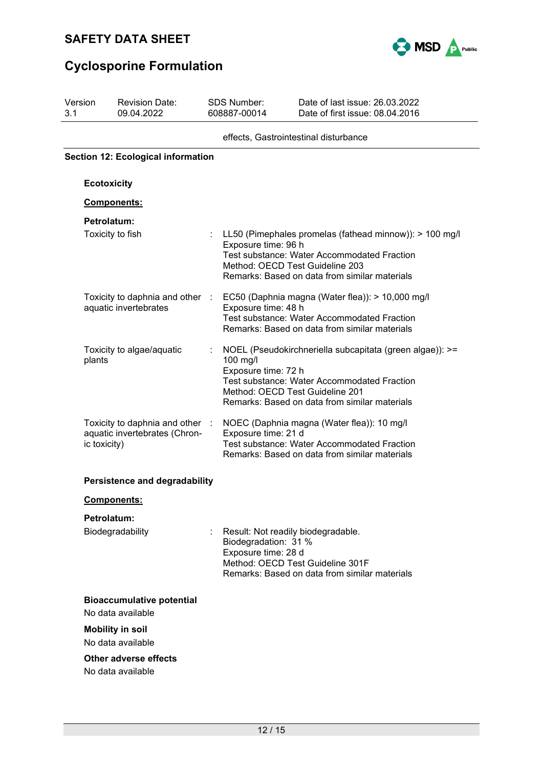

| 3.1 | Version                                   | <b>Revision Date:</b><br>09.04.2022                              |                | <b>SDS Number:</b><br>608887-00014                                                | Date of last issue: 26.03.2022<br>Date of first issue: 08.04.2016                                                                                                                          |  |  |  |  |
|-----|-------------------------------------------|------------------------------------------------------------------|----------------|-----------------------------------------------------------------------------------|--------------------------------------------------------------------------------------------------------------------------------------------------------------------------------------------|--|--|--|--|
|     |                                           |                                                                  |                |                                                                                   | effects, Gastrointestinal disturbance                                                                                                                                                      |  |  |  |  |
|     | <b>Section 12: Ecological information</b> |                                                                  |                |                                                                                   |                                                                                                                                                                                            |  |  |  |  |
|     | <b>Ecotoxicity</b>                        |                                                                  |                |                                                                                   |                                                                                                                                                                                            |  |  |  |  |
|     |                                           | Components:                                                      |                |                                                                                   |                                                                                                                                                                                            |  |  |  |  |
|     | Petrolatum:                               |                                                                  |                |                                                                                   |                                                                                                                                                                                            |  |  |  |  |
|     |                                           | Toxicity to fish                                                 |                | Exposure time: 96 h                                                               | LL50 (Pimephales promelas (fathead minnow)): > 100 mg/l<br>Test substance: Water Accommodated Fraction<br>Method: OECD Test Guideline 203<br>Remarks: Based on data from similar materials |  |  |  |  |
|     |                                           | Toxicity to daphnia and other<br>aquatic invertebrates           | $\mathbb{R}^2$ | Exposure time: 48 h                                                               | EC50 (Daphnia magna (Water flea)): > 10,000 mg/l<br><b>Test substance: Water Accommodated Fraction</b><br>Remarks: Based on data from similar materials                                    |  |  |  |  |
|     | plants                                    | Toxicity to algae/aquatic                                        |                | 100 mg/l<br>Exposure time: 72 h<br>Method: OECD Test Guideline 201                | NOEL (Pseudokirchneriella subcapitata (green algae)): >=<br>Test substance: Water Accommodated Fraction<br>Remarks: Based on data from similar materials                                   |  |  |  |  |
|     | ic toxicity)                              | Toxicity to daphnia and other :<br>aquatic invertebrates (Chron- |                | Exposure time: 21 d                                                               | NOEC (Daphnia magna (Water flea)): 10 mg/l<br><b>Test substance: Water Accommodated Fraction</b><br>Remarks: Based on data from similar materials                                          |  |  |  |  |
|     |                                           | <b>Persistence and degradability</b>                             |                |                                                                                   |                                                                                                                                                                                            |  |  |  |  |
|     |                                           | <u>Components:</u>                                               |                |                                                                                   |                                                                                                                                                                                            |  |  |  |  |
|     | Petrolatum:                               | Biodegradability                                                 |                | Result: Not readily biodegradable.<br>Biodegradation: 31 %<br>Exposure time: 28 d | Method: OECD Test Guideline 301F<br>Remarks: Based on data from similar materials                                                                                                          |  |  |  |  |
|     |                                           | <b>Bioaccumulative potential</b><br>No data available            |                |                                                                                   |                                                                                                                                                                                            |  |  |  |  |
|     |                                           | <b>Mobility in soil</b><br>No data available                     |                |                                                                                   |                                                                                                                                                                                            |  |  |  |  |
|     |                                           | Other adverse effects<br>No data available                       |                |                                                                                   |                                                                                                                                                                                            |  |  |  |  |
|     |                                           |                                                                  |                |                                                                                   |                                                                                                                                                                                            |  |  |  |  |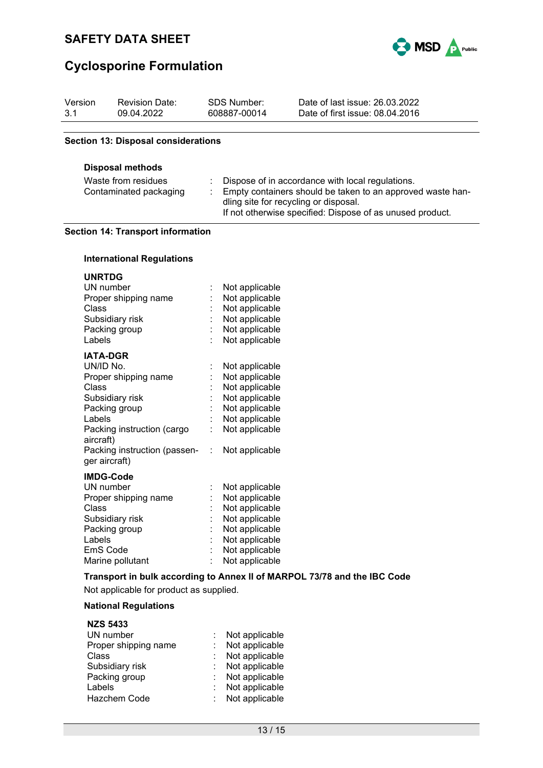

| Version<br>3.1                                                           | <b>Revision Date:</b><br>09.04.2022                                                                                                                        | <b>SDS Number:</b><br>608887-00014                                                                                                                                                                                   | Date of last issue: 26.03.2022<br>Date of first issue: 08.04.2016        |  |
|--------------------------------------------------------------------------|------------------------------------------------------------------------------------------------------------------------------------------------------------|----------------------------------------------------------------------------------------------------------------------------------------------------------------------------------------------------------------------|--------------------------------------------------------------------------|--|
|                                                                          | <b>Section 13: Disposal considerations</b>                                                                                                                 |                                                                                                                                                                                                                      |                                                                          |  |
|                                                                          |                                                                                                                                                            |                                                                                                                                                                                                                      |                                                                          |  |
| <b>Disposal methods</b><br>Waste from residues<br>Contaminated packaging |                                                                                                                                                            | Dispose of in accordance with local regulations.<br>Empty containers should be taken to an approved waste han-<br>dling site for recycling or disposal.<br>If not otherwise specified: Dispose of as unused product. |                                                                          |  |
|                                                                          | <b>Section 14: Transport information</b>                                                                                                                   |                                                                                                                                                                                                                      |                                                                          |  |
|                                                                          | <b>International Regulations</b>                                                                                                                           |                                                                                                                                                                                                                      |                                                                          |  |
| <b>UNRTDG</b><br>Class<br>Labels                                         | UN number<br>Proper shipping name<br>Subsidiary risk<br>Packing group                                                                                      | Not applicable<br>Not applicable<br>Not applicable<br>Not applicable<br>Not applicable<br>Not applicable                                                                                                             |                                                                          |  |
| UN/ID No.<br>Class<br>Labels<br>aircraft)                                | <b>IATA-DGR</b><br>Proper shipping name<br>Subsidiary risk<br>Packing group<br>Packing instruction (cargo<br>Packing instruction (passen-<br>ger aircraft) | Not applicable<br>Not applicable<br>Not applicable<br>Not applicable<br>Not applicable<br>Not applicable<br>Not applicable<br>Not applicable<br>÷                                                                    |                                                                          |  |
| Class<br>Labels                                                          | <b>IMDG-Code</b><br>UN number<br>Proper shipping name<br>Subsidiary risk<br>Packing group<br>EmS Code<br>Marine pollutant                                  | Not applicable<br>Not applicable<br>Not applicable<br>Not applicable<br>Not applicable<br>Not applicable<br>Not applicable<br>Not applicable                                                                         |                                                                          |  |
|                                                                          |                                                                                                                                                            |                                                                                                                                                                                                                      | Transport in bulk according to Annex II of MARPOL 73/78 and the IBC Code |  |
|                                                                          | Not applicable for product as supplied.                                                                                                                    |                                                                                                                                                                                                                      |                                                                          |  |
|                                                                          | <b>National Regulations</b><br><b>NZS 5433</b>                                                                                                             |                                                                                                                                                                                                                      |                                                                          |  |
| <b>Class</b><br>Labels                                                   | UN number<br>Proper shipping name<br>Subsidiary risk<br>Packing group                                                                                      | Not applicable<br>Not applicable<br>Not applicable<br>Not applicable<br>Not applicable<br>Not applicable                                                                                                             |                                                                          |  |

Hazchem Code : Not applicable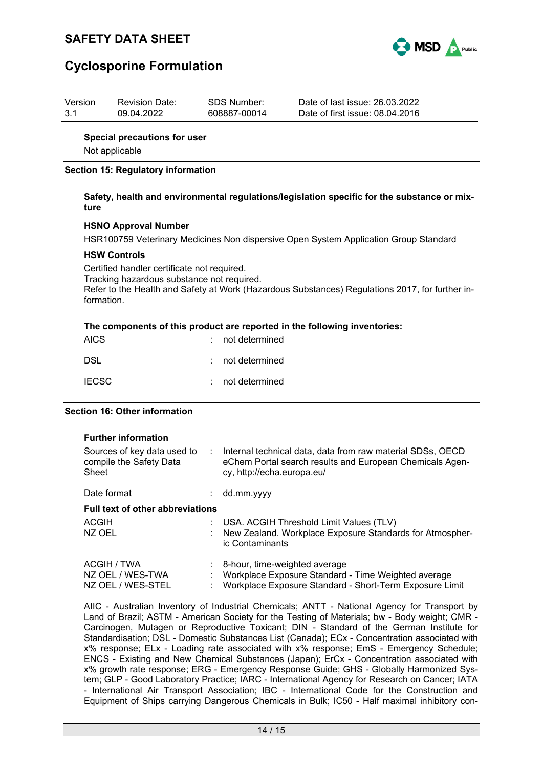



| Version | <b>Revision Date:</b> | SDS Number:  | Date of last issue: 26.03.2022  |
|---------|-----------------------|--------------|---------------------------------|
| 3.1     | 09.04.2022            | 608887-00014 | Date of first issue: 08.04.2016 |

### **Special precautions for user**

Not applicable

### **Section 15: Regulatory information**

### **Safety, health and environmental regulations/legislation specific for the substance or mixture**

### **HSNO Approval Number**

HSR100759 Veterinary Medicines Non dispersive Open System Application Group Standard

#### **HSW Controls**

Certified handler certificate not required. Tracking hazardous substance not required. Refer to the Health and Safety at Work (Hazardous Substances) Regulations 2017, for further information.

#### **The components of this product are reported in the following inventories:**

| <b>AICS</b>  | : not determined   |
|--------------|--------------------|
| DSL          | $:$ not determined |
| <b>IECSC</b> | : not determined   |

### **Section 16: Other information**

| <b>Further information</b>                                      |    |                                                                                                                                                      |
|-----------------------------------------------------------------|----|------------------------------------------------------------------------------------------------------------------------------------------------------|
| Sources of key data used to<br>compile the Safety Data<br>Sheet | ÷. | Internal technical data, data from raw material SDSs, OECD<br>eChem Portal search results and European Chemicals Agen-<br>cy, http://echa.europa.eu/ |
| Date format                                                     | ÷  | dd.mm.yyyy                                                                                                                                           |
| <b>Full text of other abbreviations</b>                         |    |                                                                                                                                                      |
| ACGIH                                                           | ÷. | USA. ACGIH Threshold Limit Values (TLV)                                                                                                              |
| NZ OEL                                                          | ٠  | New Zealand. Workplace Exposure Standards for Atmospher-<br>ic Contaminants                                                                          |
| ACGIH / TWA                                                     |    | 8-hour, time-weighted average                                                                                                                        |
| NZ OEL / WES-TWA                                                | ٠  | Workplace Exposure Standard - Time Weighted average                                                                                                  |
| NZ OEL / WES-STEL                                               | ٠  | Workplace Exposure Standard - Short-Term Exposure Limit                                                                                              |

AIIC - Australian Inventory of Industrial Chemicals; ANTT - National Agency for Transport by Land of Brazil; ASTM - American Society for the Testing of Materials; bw - Body weight; CMR - Carcinogen, Mutagen or Reproductive Toxicant; DIN - Standard of the German Institute for Standardisation; DSL - Domestic Substances List (Canada); ECx - Concentration associated with x% response; ELx - Loading rate associated with x% response; EmS - Emergency Schedule; ENCS - Existing and New Chemical Substances (Japan); ErCx - Concentration associated with x% growth rate response; ERG - Emergency Response Guide; GHS - Globally Harmonized System; GLP - Good Laboratory Practice; IARC - International Agency for Research on Cancer; IATA - International Air Transport Association; IBC - International Code for the Construction and Equipment of Ships carrying Dangerous Chemicals in Bulk; IC50 - Half maximal inhibitory con-